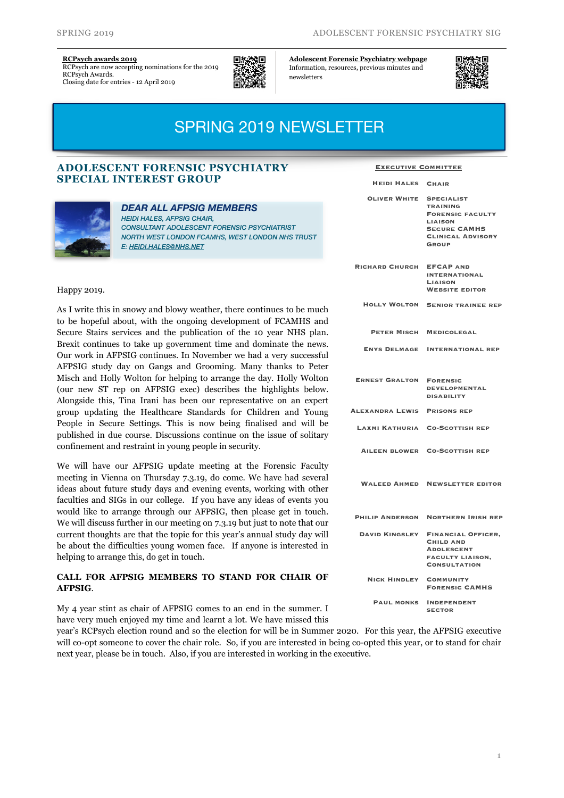#### **[RCPsych awards 2019](https://www.rcpsych.ac.uk/about-us/rcpsych-awards-2019)**

RCPsych are now accepting nominations for the 2019 RCPsych Awards. Closing date for entries - 12 April 2019



**[Adolescent Forensic Psychiatry webpage](https://www.rcpsych.ac.uk/members/special-interest-groups/adolescent-forensic-psychiatry)**  Information, resources, previous minutes and newsletters



# SPRING 2019 NEWSLETTER

## **ADOLESCENT FORENSIC PSYCHIATRY SPECIAL INTEREST GROUP**



# *DEAR ALL AFPSIG MEMBERS*

*HEIDI HALES, AFPSIG CHAIR, CONSULTANT ADOLESCENT FORENSIC PSYCHIATRIST NORTH WEST LONDON FCAMHS, WEST LONDON NHS TRUST E: [HEIDI.HALES@NHS.NET](mailto:heidi.hales@nhs.net)*

### Happy 2019.

As I write this in snowy and blowy weather, there continues to be much to be hopeful about, with the ongoing development of FCAMHS and Secure Stairs services and the publication of the 10 year NHS plan. Brexit continues to take up government time and dominate the news. Our work in AFPSIG continues. In November we had a very successful AFPSIG study day on Gangs and Grooming. Many thanks to Peter Misch and Holly Wolton for helping to arrange the day. Holly Wolton (our new ST rep on AFPSIG exec) describes the highlights below. Alongside this, Tina Irani has been our representative on an expert group updating the Healthcare Standards for Children and Young People in Secure Settings. This is now being finalised and will be published in due course. Discussions continue on the issue of solitary confinement and restraint in young people in security.

We will have our AFPSIG update meeting at the Forensic Faculty meeting in Vienna on Thursday 7.3.19, do come. We have had several ideas about future study days and evening events, working with other faculties and SIGs in our college. If you have any ideas of events you would like to arrange through our AFPSIG, then please get in touch. We will discuss further in our meeting on 7.3.19 but just to note that our current thoughts are that the topic for this year's annual study day will be about the difficulties young women face. If anyone is interested in helping to arrange this, do get in touch.

## **CALL FOR AFPSIG MEMBERS TO STAND FOR CHAIR OF AFPSIG**.

My 4 year stint as chair of AFPSIG comes to an end in the summer. I have very much enjoyed my time and learnt a lot. We have missed this

year's RCPsych election round and so the election for will be in Summer 2020. For this year, the AFPSIG executive will co-opt someone to cover the chair role. So, if you are interested in being co-opted this year, or to stand for chair next year, please be in touch. Also, if you are interested in working in the executive.

#### **Executive Committee**

**Heidi Hales Chair**

| <b>OLIVER WHITE</b>    | <b>SPECIALIST</b><br><b>TRAINING</b><br><b>FORENSIC FACULTY</b><br><b>LIAISON</b><br><b>SECURE CAMHS</b><br><b>CLINICAL ADVISORY</b><br>GROUP |
|------------------------|-----------------------------------------------------------------------------------------------------------------------------------------------|
| <b>RICHARD CHURCH</b>  | <b>EFCAP AND</b><br><b>INTERNATIONAL</b><br><b>LIAISON</b><br><b>WEBSITE EDITOR</b>                                                           |
| <b>HOLLY WOLTON</b>    | <b>SENIOR TRAINEE REP</b>                                                                                                                     |
| PETER MISCH            | <b>MEDICOLEGAL</b>                                                                                                                            |
| <b>ENYS DELMAGE</b>    | <b>INTERNATIONAL REP</b>                                                                                                                      |
| <b>ERNEST GRALTON</b>  | <b>FORENSIC</b><br><b>DEVELOPMENTAL</b><br><b>DISABILITY</b>                                                                                  |
| ALEXANDRA LEWIS        | <b>PRISONS REP</b>                                                                                                                            |
| LAXMI KATHURIA         | <b>CO-SCOTTISH REP</b>                                                                                                                        |
|                        | AILEEN BLOWER CO-SCOTTISH REP                                                                                                                 |
|                        | <b>WALEED AHMED NEWSLETTER EDITOR</b>                                                                                                         |
| <b>PHILIP ANDERSON</b> | <b>NORTHERN IRISH REP</b>                                                                                                                     |
| <b>DAVID KINGSLEY</b>  | <b>FINANCIAL OFFICER,</b><br><b>CHILD AND</b><br><b>ADOLESCENT</b><br><b>FACULTY LIAISON,</b><br><b>CONSULTATION</b>                          |
| <b>NICK HINDLEY</b>    | <b>COMMUNITY</b><br><b>FORENSIC CAMHS</b>                                                                                                     |
| <b>PAUL MONKS</b>      | <b>INDEPENDENT</b><br><b>SECTOR</b>                                                                                                           |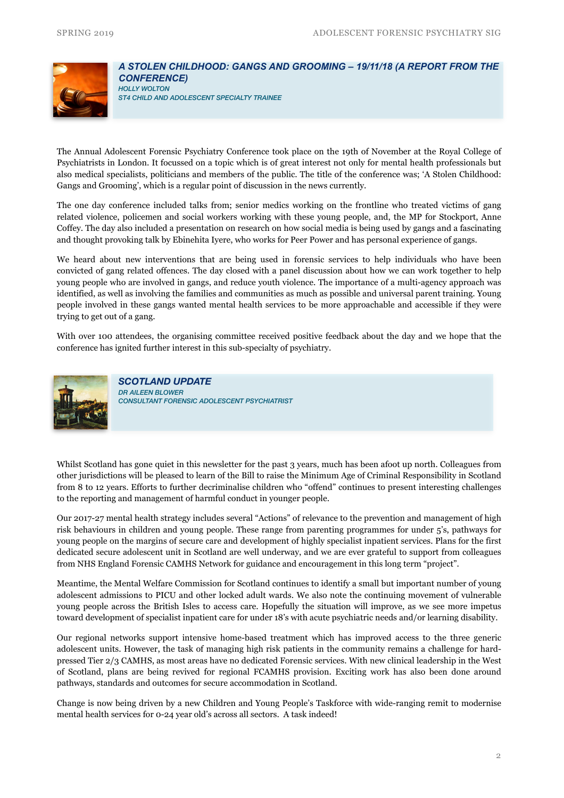

### *A STOLEN CHILDHOOD: GANGS AND GROOMING – 19/11/18 (A REPORT FROM THE CONFERENCE) HOLLY WOLTON*

*ST4 CHILD AND ADOLESCENT SPECIALTY TRAINEE* 

The Annual Adolescent Forensic Psychiatry Conference took place [on the 19th of November](x-apple-data-detectors://15) at the Royal College of Psychiatrists in London. It focussed on a topic which is of great interest not only for mental health professionals but also medical specialists, politicians and members of the public. The title of the conference was; 'A Stolen Childhood: Gangs and Grooming', which is a regular point of discussion in the news currently.

The one day conference included talks from; senior medics working on the frontline who treated victims of gang related violence, policemen and social workers working with these young people, and, the MP for Stockport, Anne Coffey. The day also included a presentation on research on how social media is being used by gangs and a fascinating and thought provoking talk by Ebinehita Iyere, who works for Peer Power and has personal experience of gangs.

We heard about new interventions that are being used in forensic services to help individuals who have been convicted of gang related offences. The day closed with a panel discussion about how we can work together to help young people who are involved in gangs, and reduce youth violence. The importance of a multi-agency approach was identified, as well as involving the families and communities as much as possible and universal parent training. Young people involved in these gangs wanted mental health services to be more approachable and accessible if they were trying to get out of a gang.

With over 100 attendees, the organising committee received positive feedback about the day and we hope that the conference has ignited further interest in this sub-specialty of psychiatry.



*SCOTLAND UPDATE DR AILEEN BLOWER CONSULTANT FORENSIC ADOLESCENT PSYCHIATRIST* 

Whilst Scotland has gone quiet in this newsletter for the past 3 years, much has been afoot up north. Colleagues from other jurisdictions will be pleased to learn of the Bill to raise the Minimum Age of Criminal Responsibility in Scotland from 8 to 12 years. Efforts to further decriminalise children who "offend" continues to present interesting challenges to the reporting and management of harmful conduct in younger people.

Our 2017-27 mental health strategy includes several "Actions" of relevance to the prevention and management of high risk behaviours in children and young people. These range from parenting programmes for under 5's, pathways for young people on the margins of secure care and development of highly specialist inpatient services. Plans for the first dedicated secure adolescent unit in Scotland are well underway, and we are ever grateful to support from colleagues from NHS England Forensic CAMHS Network for guidance and encouragement in this long term "project".

Meantime, the Mental Welfare Commission for Scotland continues to identify a small but important number of young adolescent admissions to PICU and other locked adult wards. We also note the continuing movement of vulnerable young people across the British Isles to access care. Hopefully the situation will improve, as we see more impetus toward development of specialist inpatient care for under 18's with acute psychiatric needs and/or learning disability.

Our regional networks support intensive home-based treatment which has improved access to the three generic adolescent units. However, the task of managing high risk patients in the community remains a challenge for hardpressed Tier 2/3 CAMHS, as most areas have no dedicated Forensic services. With new clinical leadership in the West of Scotland, plans are being revived for regional FCAMHS provision. Exciting work has also been done around pathways, standards and outcomes for secure accommodation in Scotland.

Change is now being driven by a new Children and Young People's Taskforce with wide-ranging remit to modernise mental health services for 0-24 year old's across all sectors. A task indeed!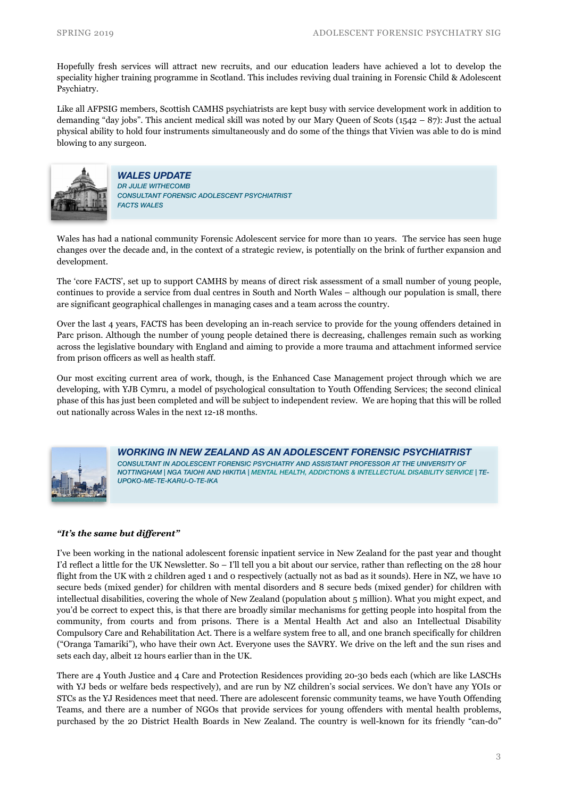Hopefully fresh services will attract new recruits, and our education leaders have achieved a lot to develop the speciality higher training programme in Scotland. This includes reviving dual training in Forensic Child & Adolescent Psychiatry.

Like all AFPSIG members, Scottish CAMHS psychiatrists are kept busy with service development work in addition to demanding "day jobs". This ancient medical skill was noted by our Mary Queen of Scots (1542 – 87): Just the actual physical ability to hold four instruments simultaneously and do some of the things that Vivien was able to do is mind blowing to any surgeon.



*WALES UPDATE DR JULIE WITHECOMB CONSULTANT FORENSIC ADOLESCENT PSYCHIATRIST FACTS WALES* 

Wales has had a national community Forensic Adolescent service for more than 10 years. The service has seen huge changes over the decade and, in the context of a strategic review, is potentially on the brink of further expansion and development.

The 'core FACTS', set up to support CAMHS by means of direct risk assessment of a small number of young people, continues to provide a service from dual centres in South and North Wales – although our population is small, there are significant geographical challenges in managing cases and a team across the country.

Over the last 4 years, FACTS has been developing an in-reach service to provide for the young offenders detained in Parc prison. Although the number of young people detained there is decreasing, challenges remain such as working across the legislative boundary with England and aiming to provide a more trauma and attachment informed service from prison officers as well as health staff.

Our most exciting current area of work, though, is the Enhanced Case Management project through which we are developing, with YJB Cymru, a model of psychological consultation to Youth Offending Services; the second clinical phase of this has just been completed and will be subject to independent review. We are hoping that this will be rolled out nationally across Wales in the next 12-18 months.



*WORKING IN NEW ZEALAND AS AN ADOLESCENT FORENSIC PSYCHIATRIST CONSULTANT IN ADOLESCENT FORENSIC PSYCHIATRY AND ASSISTANT PROFESSOR AT THE UNIVERSITY OF NOTTINGHAM | NGA TAIOHI AND HIKITIA | MENTAL HEALTH, ADDICTIONS & INTELLECTUAL DISABILITY SERVICE | TE-UPOKO-ME-TE-KARU-O-TE-IKA*

## *"It's the same but different"*

I've been working in the national adolescent forensic inpatient service in New Zealand for the past year and thought I'd reflect a little for the UK Newsletter. So – I'll tell you a bit about our service, rather than reflecting on the 28 hour flight from the UK with 2 children aged 1 and 0 respectively (actually not as bad as it sounds). Here in NZ, we have 10 secure beds (mixed gender) for children with mental disorders and 8 secure beds (mixed gender) for children with intellectual disabilities, covering the whole of New Zealand (population about 5 million). What you might expect, and you'd be correct to expect this, is that there are broadly similar mechanisms for getting people into hospital from the community, from courts and from prisons. There is a Mental Health Act and also an Intellectual Disability Compulsory Care and Rehabilitation Act. There is a welfare system free to all, and one branch specifically for children ("Oranga Tamariki"), who have their own Act. Everyone uses the SAVRY. We drive on the left and the sun rises and sets each day, albeit 12 hours earlier than in the UK.

There are 4 Youth Justice and 4 Care and Protection Residences providing 20-30 beds each (which are like LASCHs with YJ beds or welfare beds respectively), and are run by NZ children's social services. We don't have any YOIs or STCs as the YJ Residences meet that need. There are adolescent forensic community teams, we have Youth Offending Teams, and there are a number of NGOs that provide services for young offenders with mental health problems, purchased by the 20 District Health Boards in New Zealand. The country is well-known for its friendly "can-do"